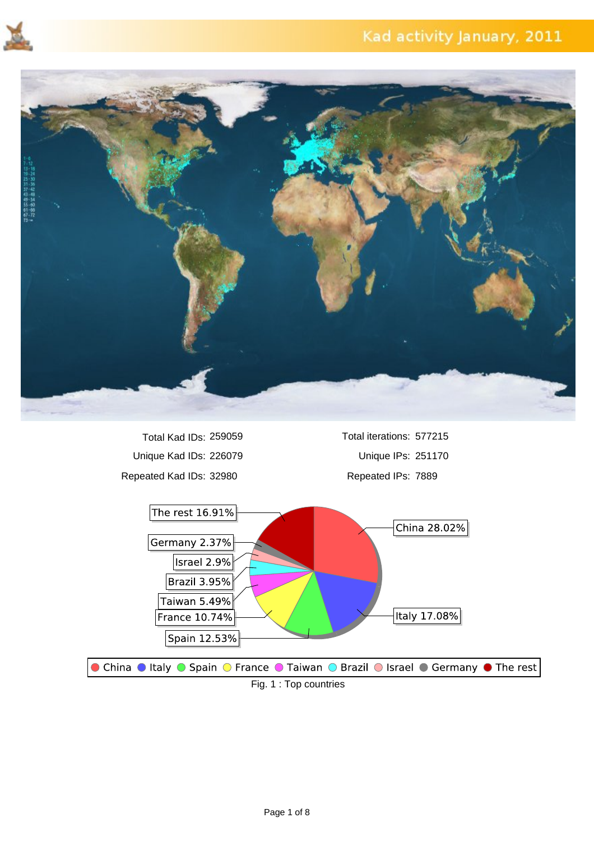



Unique Kad IDs: 226079 Unique IPs: 251170 Repeated Kad IDs: 32980 Repeated IPs: 7889 Total Kad IDs: 259059

Total iterations: 577215

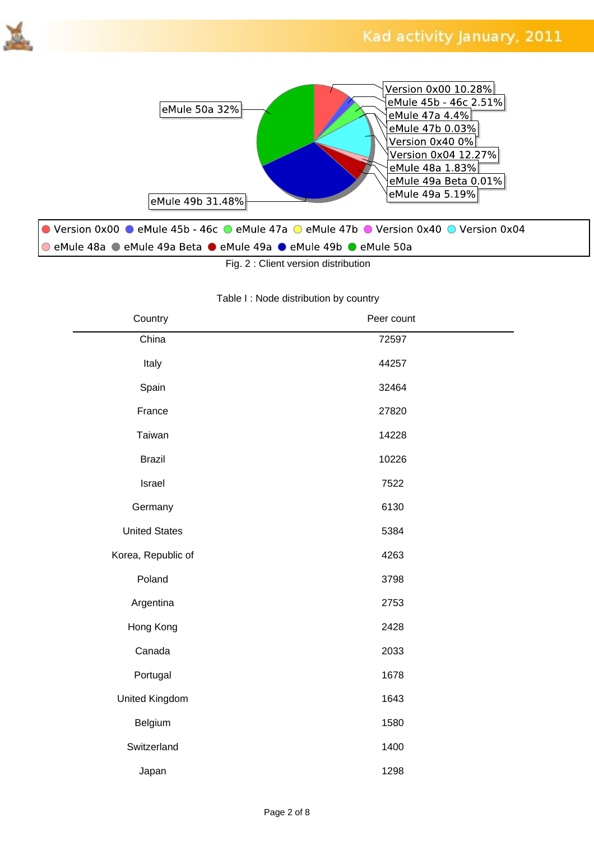



Fig. 2 : Client version distribution

#### Table I : Node distribution by country

| Country              | Peer count |  |
|----------------------|------------|--|
| China                | 72597      |  |
| Italy                | 44257      |  |
| Spain                | 32464      |  |
| France               | 27820      |  |
| Taiwan               | 14228      |  |
| <b>Brazil</b>        | 10226      |  |
| Israel               | 7522       |  |
| Germany              | 6130       |  |
| <b>United States</b> | 5384       |  |
| Korea, Republic of   | 4263       |  |
| Poland               | 3798       |  |
| Argentina            | 2753       |  |
| Hong Kong            | 2428       |  |
| Canada               | 2033       |  |
| Portugal             | 1678       |  |
| United Kingdom       | 1643       |  |
| Belgium              | 1580       |  |
| Switzerland          | 1400       |  |
| Japan                | 1298       |  |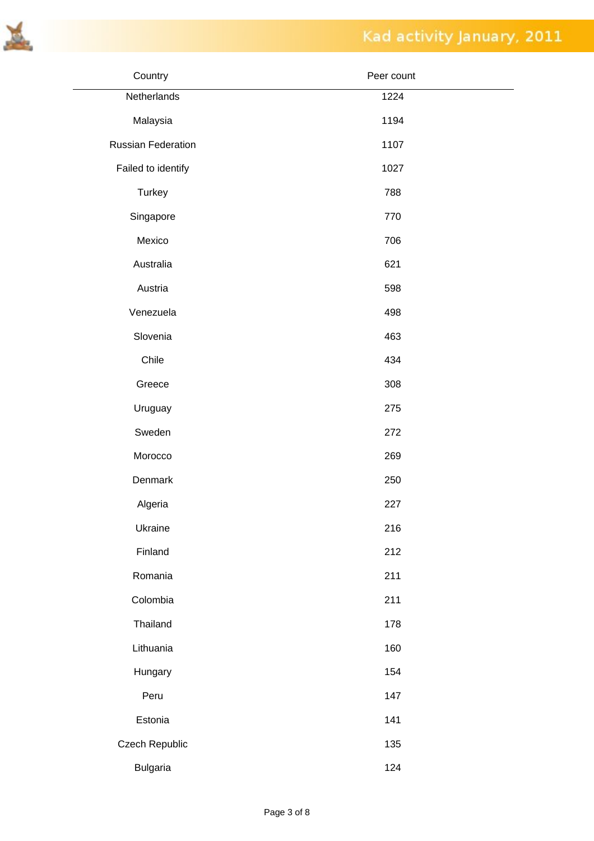

| Country                   | Peer count |
|---------------------------|------------|
| Netherlands               | 1224       |
| Malaysia                  | 1194       |
| <b>Russian Federation</b> | 1107       |
| Failed to identify        | 1027       |
| Turkey                    | 788        |
| Singapore                 | 770        |
| Mexico                    | 706        |
| Australia                 | 621        |
| Austria                   | 598        |
| Venezuela                 | 498        |
| Slovenia                  | 463        |
| Chile                     | 434        |
| Greece                    | 308        |
| Uruguay                   | 275        |
| Sweden                    | 272        |
| Morocco                   | 269        |
| Denmark                   | 250        |
| Algeria                   | 227        |
| Ukraine                   | 216        |
| Finland                   | 212        |
| Romania                   | 211        |
| Colombia                  | 211        |
| Thailand                  | 178        |
| Lithuania                 | 160        |
| Hungary                   | 154        |
| Peru                      | 147        |
| Estonia                   | 141        |
| Czech Republic            | 135        |
| <b>Bulgaria</b>           | 124        |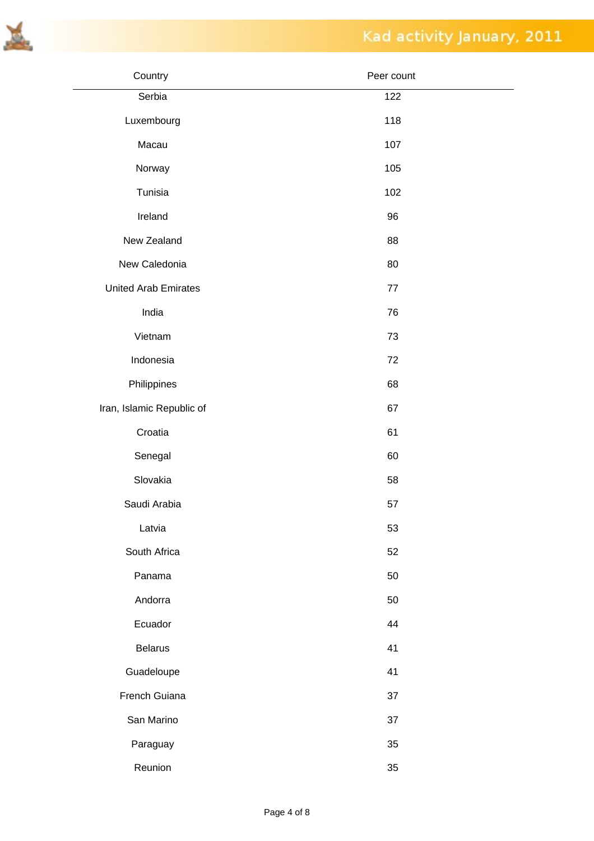



| Country                     | Peer count |
|-----------------------------|------------|
| Serbia                      | 122        |
| Luxembourg                  | 118        |
| Macau                       | 107        |
| Norway                      | 105        |
| Tunisia                     | 102        |
| Ireland                     | 96         |
| New Zealand                 | 88         |
| New Caledonia               | 80         |
| <b>United Arab Emirates</b> | 77         |
| India                       | 76         |
| Vietnam                     | 73         |
| Indonesia                   | 72         |
| Philippines                 | 68         |
| Iran, Islamic Republic of   | 67         |
| Croatia                     | 61         |
| Senegal                     | 60         |
| Slovakia                    | 58         |
| Saudi Arabia                | 57         |
| Latvia                      | 53         |
| South Africa                | 52         |
| Panama                      | 50         |
| Andorra                     | 50         |
| Ecuador                     | 44         |
| <b>Belarus</b>              | 41         |
| Guadeloupe                  | 41         |
| French Guiana               | 37         |
| San Marino                  | 37         |
| Paraguay                    | 35         |
| Reunion                     | 35         |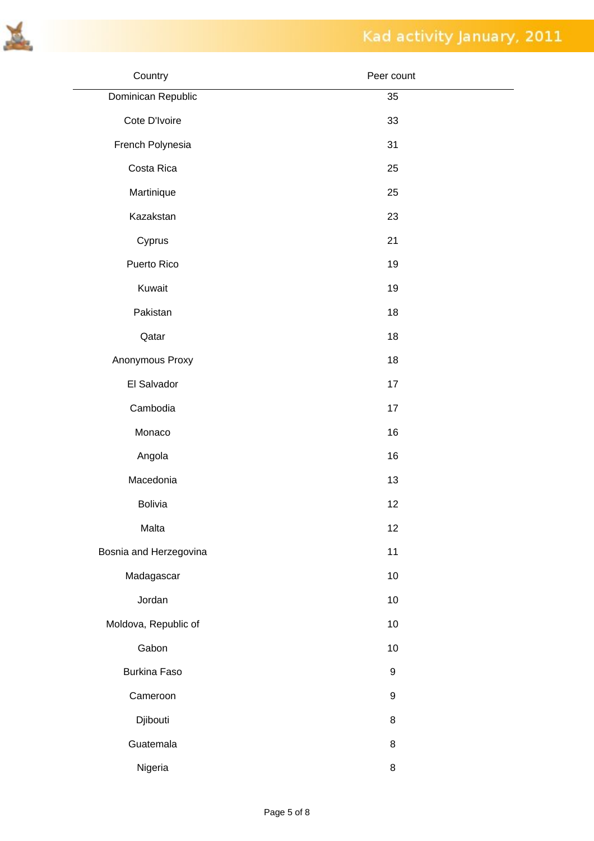

| Country                | Peer count       |
|------------------------|------------------|
| Dominican Republic     | 35               |
| Cote D'Ivoire          | 33               |
| French Polynesia       | 31               |
| Costa Rica             | 25               |
| Martinique             | 25               |
| Kazakstan              | 23               |
| Cyprus                 | 21               |
| Puerto Rico            | 19               |
| Kuwait                 | 19               |
| Pakistan               | 18               |
| Qatar                  | 18               |
| Anonymous Proxy        | 18               |
| El Salvador            | 17               |
| Cambodia               | 17               |
| Monaco                 | 16               |
| Angola                 | 16               |
| Macedonia              | 13               |
| <b>Bolivia</b>         | 12               |
| Malta                  | 12               |
| Bosnia and Herzegovina | 11               |
| Madagascar             | 10               |
| Jordan                 | 10               |
| Moldova, Republic of   | 10               |
| Gabon                  | 10               |
| Burkina Faso           | $\boldsymbol{9}$ |
| Cameroon               | $\boldsymbol{9}$ |
| Djibouti               | $\bf 8$          |
| Guatemala              | $\bf 8$          |
| Nigeria                | $\bf 8$          |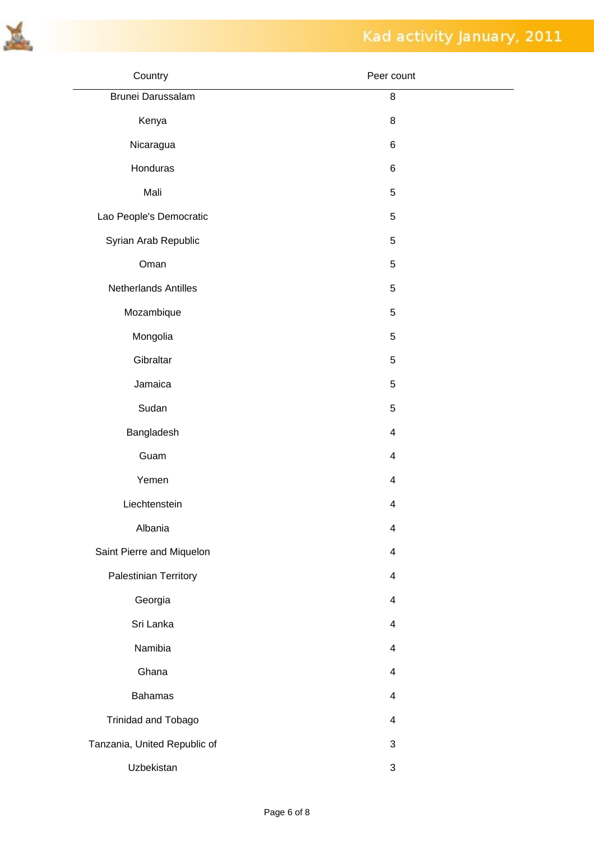

| Country                      | Peer count                |
|------------------------------|---------------------------|
| Brunei Darussalam            | 8                         |
| Kenya                        | 8                         |
| Nicaragua                    | 6                         |
| Honduras                     | 6                         |
| Mali                         | 5                         |
| Lao People's Democratic      | 5                         |
| Syrian Arab Republic         | 5                         |
| Oman                         | 5                         |
| Netherlands Antilles         | 5                         |
| Mozambique                   | 5                         |
| Mongolia                     | 5                         |
| Gibraltar                    | 5                         |
| Jamaica                      | 5                         |
| Sudan                        | 5                         |
| Bangladesh                   | $\overline{4}$            |
| Guam                         | $\overline{4}$            |
| Yemen                        | $\overline{4}$            |
| Liechtenstein                | $\overline{\mathbf{4}}$   |
| Albania                      | $\overline{\mathbf{4}}$   |
| Saint Pierre and Miquelon    | $\overline{4}$            |
| Palestinian Territory        | $\overline{4}$            |
| Georgia                      | $\overline{4}$            |
| Sri Lanka                    | $\overline{4}$            |
| Namibia                      | $\overline{4}$            |
| Ghana                        | $\overline{4}$            |
| <b>Bahamas</b>               | $\overline{4}$            |
| Trinidad and Tobago          | $\overline{4}$            |
| Tanzania, United Republic of | $\mathfrak{S}$            |
| Uzbekistan                   | $\ensuremath{\mathsf{3}}$ |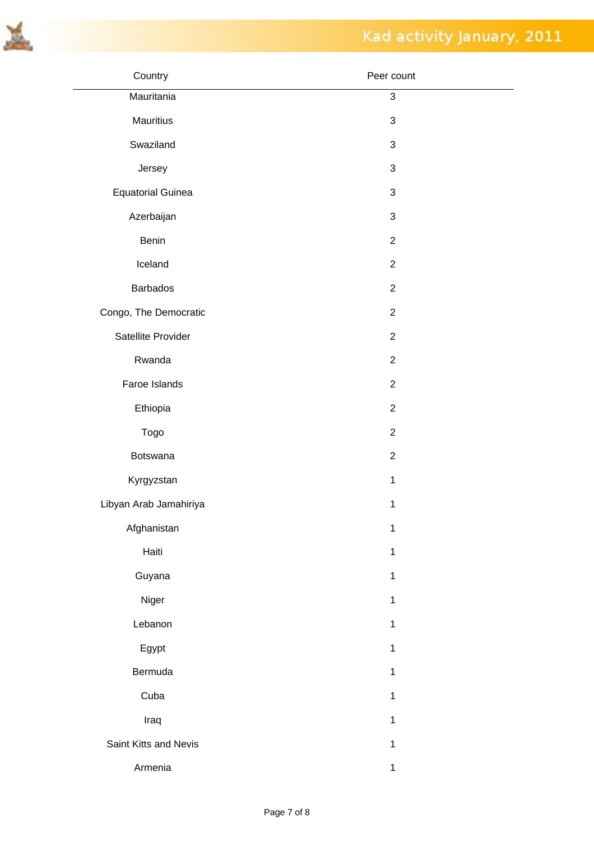

| Country                  | Peer count                |
|--------------------------|---------------------------|
| Mauritania               | $\mathfrak{S}$            |
| Mauritius                | $\ensuremath{\mathsf{3}}$ |
| Swaziland                | $\sqrt{3}$                |
| Jersey                   | $\sqrt{3}$                |
| <b>Equatorial Guinea</b> | $\sqrt{3}$                |
| Azerbaijan               | $\sqrt{3}$                |
| Benin                    | $\overline{2}$            |
| Iceland                  | $\overline{2}$            |
| <b>Barbados</b>          | $\overline{2}$            |
| Congo, The Democratic    | $\overline{2}$            |
| Satellite Provider       | $\overline{2}$            |
| Rwanda                   | $\overline{2}$            |
| Faroe Islands            | $\overline{2}$            |
| Ethiopia                 | $\overline{2}$            |
| Togo                     | $\overline{2}$            |
| Botswana                 | $\overline{2}$            |
| Kyrgyzstan               | $\mathbf{1}$              |
| Libyan Arab Jamahiriya   | $\mathbf{1}$              |
| Afghanistan              | $\mathbf 1$               |
| Haiti                    | $\mathbf{1}$              |
| Guyana                   | $\mathbf{1}$              |
| Niger                    | $\mathbf{1}$              |
| Lebanon                  | $\mathbf{1}$              |
| Egypt                    | $\mathbf{1}$              |
| Bermuda                  | $\mathbf{1}$              |
| Cuba                     | $\mathbf{1}$              |
| Iraq                     | $\mathbf{1}$              |
| Saint Kitts and Nevis    | $\mathbf{1}$              |
| Armenia                  | $\mathbf{1}$              |